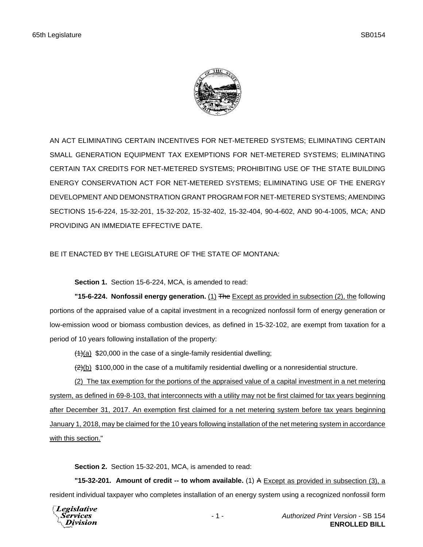

AN ACT ELIMINATING CERTAIN INCENTIVES FOR NET-METERED SYSTEMS; ELIMINATING CERTAIN SMALL GENERATION EQUIPMENT TAX EXEMPTIONS FOR NET-METERED SYSTEMS; ELIMINATING CERTAIN TAX CREDITS FOR NET-METERED SYSTEMS; PROHIBITING USE OF THE STATE BUILDING ENERGY CONSERVATION ACT FOR NET-METERED SYSTEMS; ELIMINATING USE OF THE ENERGY DEVELOPMENT AND DEMONSTRATION GRANT PROGRAM FOR NET-METERED SYSTEMS; AMENDING SECTIONS 15-6-224, 15-32-201, 15-32-202, 15-32-402, 15-32-404, 90-4-602, AND 90-4-1005, MCA; AND PROVIDING AN IMMEDIATE EFFECTIVE DATE.

BE IT ENACTED BY THE LEGISLATURE OF THE STATE OF MONTANA:

**Section 1.** Section 15-6-224, MCA, is amended to read:

**"15-6-224. Nonfossil energy generation.** (1) The Except as provided in subsection (2), the following portions of the appraised value of a capital investment in a recognized nonfossil form of energy generation or low-emission wood or biomass combustion devices, as defined in 15-32-102, are exempt from taxation for a period of 10 years following installation of the property:

 $(1)(a)$  \$20,000 in the case of a single-family residential dwelling;

 $\left(\frac{2}{b}\right)$  \$100,000 in the case of a multifamily residential dwelling or a nonresidential structure.

(2) The tax exemption for the portions of the appraised value of a capital investment in a net metering system, as defined in 69-8-103, that interconnects with a utility may not be first claimed for tax years beginning after December 31, 2017. An exemption first claimed for a net metering system before tax years beginning January 1, 2018, may be claimed for the 10 years following installation of the net metering system in accordance with this section."

**Section 2.** Section 15-32-201, MCA, is amended to read:

**"15-32-201. Amount of credit -- to whom available.** (1) A Except as provided in subsection (3), a resident individual taxpayer who completes installation of an energy system using a recognized nonfossil form

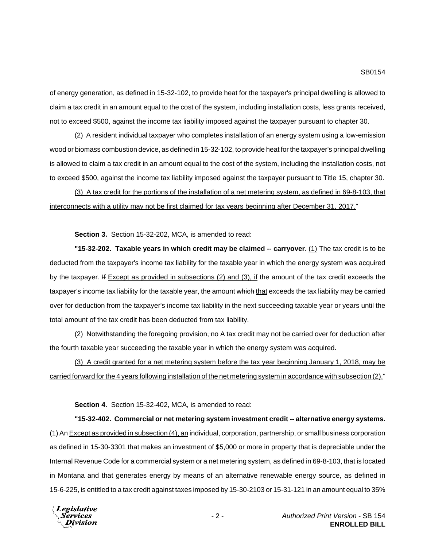of energy generation, as defined in 15-32-102, to provide heat for the taxpayer's principal dwelling is allowed to claim a tax credit in an amount equal to the cost of the system, including installation costs, less grants received, not to exceed \$500, against the income tax liability imposed against the taxpayer pursuant to chapter 30.

(2) A resident individual taxpayer who completes installation of an energy system using a low-emission wood or biomass combustion device, as defined in 15-32-102, to provide heat for the taxpayer's principal dwelling is allowed to claim a tax credit in an amount equal to the cost of the system, including the installation costs, not to exceed \$500, against the income tax liability imposed against the taxpayer pursuant to Title 15, chapter 30.

(3) A tax credit for the portions of the installation of a net metering system, as defined in 69-8-103, that interconnects with a utility may not be first claimed for tax years beginning after December 31, 2017."

**Section 3.** Section 15-32-202, MCA, is amended to read:

**"15-32-202. Taxable years in which credit may be claimed -- carryover.** (1) The tax credit is to be deducted from the taxpayer's income tax liability for the taxable year in which the energy system was acquired by the taxpayer. If Except as provided in subsections (2) and (3), if the amount of the tax credit exceeds the taxpayer's income tax liability for the taxable year, the amount which that exceeds the tax liability may be carried over for deduction from the taxpayer's income tax liability in the next succeeding taxable year or years until the total amount of the tax credit has been deducted from tax liability.

(2) Notwithstanding the foregoing provision, no A tax credit may not be carried over for deduction after the fourth taxable year succeeding the taxable year in which the energy system was acquired.

(3) A credit granted for a net metering system before the tax year beginning January 1, 2018, may be carried forward for the 4 years following installation of the net metering system in accordance with subsection (2)."

**Section 4.** Section 15-32-402, MCA, is amended to read:

**"15-32-402. Commercial or net metering system investment credit -- alternative energy systems.** (1) An Except as provided in subsection (4), an individual, corporation, partnership, or small business corporation as defined in 15-30-3301 that makes an investment of \$5,000 or more in property that is depreciable under the Internal Revenue Code for a commercial system or a net metering system, as defined in 69-8-103, that is located in Montana and that generates energy by means of an alternative renewable energy source, as defined in 15-6-225, is entitled to a tax credit against taxes imposed by 15-30-2103 or 15-31-121 in an amount equal to 35%

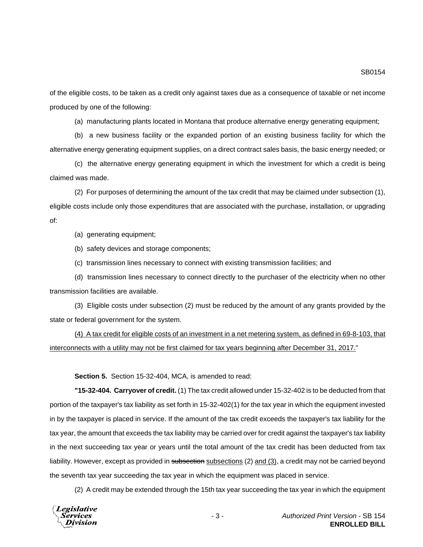of the eligible costs, to be taken as a credit only against taxes due as a consequence of taxable or net income produced by one of the following:

(a) manufacturing plants located in Montana that produce alternative energy generating equipment;

(b) a new business facility or the expanded portion of an existing business facility for which the alternative energy generating equipment supplies, on a direct contract sales basis, the basic energy needed; or

(c) the alternative energy generating equipment in which the investment for which a credit is being claimed was made.

(2) For purposes of determining the amount of the tax credit that may be claimed under subsection (1), eligible costs include only those expenditures that are associated with the purchase, installation, or upgrading of:

(a) generating equipment;

(b) safety devices and storage components;

(c) transmission lines necessary to connect with existing transmission facilities; and

(d) transmission lines necessary to connect directly to the purchaser of the electricity when no other transmission facilities are available.

(3) Eligible costs under subsection (2) must be reduced by the amount of any grants provided by the state or federal government for the system.

(4) A tax credit for eligible costs of an investment in a net metering system, as defined in 69-8-103, that interconnects with a utility may not be first claimed for tax years beginning after December 31, 2017."

**Section 5.** Section 15-32-404, MCA, is amended to read:

**"15-32-404. Carryover of credit.** (1) The tax credit allowed under 15-32-402 is to be deducted from that portion of the taxpayer's tax liability as set forth in 15-32-402(1) for the tax year in which the equipment invested in by the taxpayer is placed in service. If the amount of the tax credit exceeds the taxpayer's tax liability for the tax year, the amount that exceeds the tax liability may be carried over for credit against the taxpayer's tax liability in the next succeeding tax year or years until the total amount of the tax credit has been deducted from tax liability. However, except as provided in subsection subsections (2) and (3), a credit may not be carried beyond the seventh tax year succeeding the tax year in which the equipment was placed in service.

(2) A credit may be extended through the 15th tax year succeeding the tax year in which the equipment

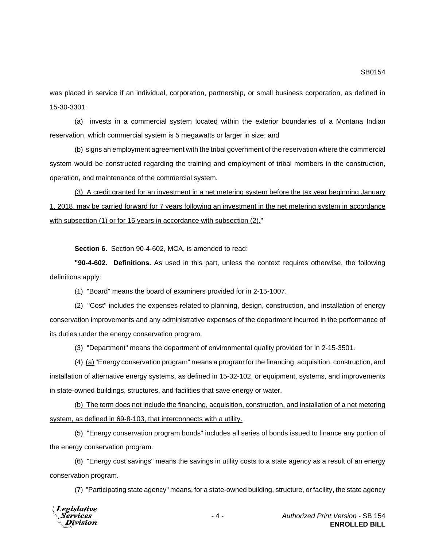was placed in service if an individual, corporation, partnership, or small business corporation, as defined in 15-30-3301:

(a) invests in a commercial system located within the exterior boundaries of a Montana Indian reservation, which commercial system is 5 megawatts or larger in size; and

(b) signs an employment agreement with the tribal government of the reservation where the commercial system would be constructed regarding the training and employment of tribal members in the construction, operation, and maintenance of the commercial system.

(3) A credit granted for an investment in a net metering system before the tax year beginning January 1, 2018, may be carried forward for 7 years following an investment in the net metering system in accordance with subsection (1) or for 15 years in accordance with subsection (2)."

**Section 6.** Section 90-4-602, MCA, is amended to read:

**"90-4-602. Definitions.** As used in this part, unless the context requires otherwise, the following definitions apply:

(1) "Board" means the board of examiners provided for in 2-15-1007.

(2) "Cost" includes the expenses related to planning, design, construction, and installation of energy conservation improvements and any administrative expenses of the department incurred in the performance of its duties under the energy conservation program.

(3) "Department" means the department of environmental quality provided for in 2-15-3501.

(4) (a) "Energy conservation program" means a program for the financing, acquisition, construction, and installation of alternative energy systems, as defined in 15-32-102, or equipment, systems, and improvements in state-owned buildings, structures, and facilities that save energy or water.

(b) The term does not include the financing, acquisition, construction, and installation of a net metering system, as defined in 69-8-103, that interconnects with a utility.

(5) "Energy conservation program bonds" includes all series of bonds issued to finance any portion of the energy conservation program.

(6) "Energy cost savings" means the savings in utility costs to a state agency as a result of an energy conservation program.

(7) "Participating state agency" means, for a state-owned building, structure, or facility, the state agency

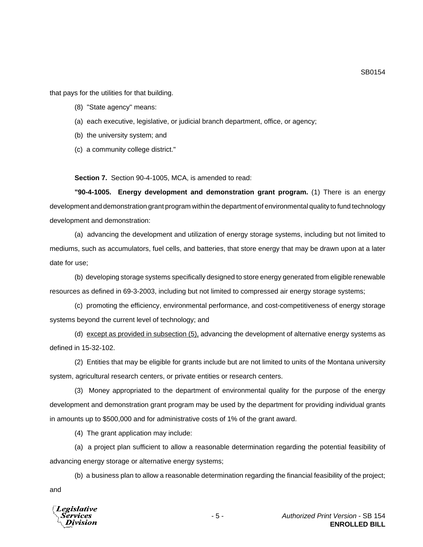that pays for the utilities for that building.

- (8) "State agency" means:
- (a) each executive, legislative, or judicial branch department, office, or agency;
- (b) the university system; and
- (c) a community college district."

**Section 7.** Section 90-4-1005, MCA, is amended to read:

**"90-4-1005. Energy development and demonstration grant program.** (1) There is an energy development and demonstration grant program within the department of environmental quality to fund technology development and demonstration:

(a) advancing the development and utilization of energy storage systems, including but not limited to mediums, such as accumulators, fuel cells, and batteries, that store energy that may be drawn upon at a later date for use;

(b) developing storage systems specifically designed to store energy generated from eligible renewable resources as defined in 69-3-2003, including but not limited to compressed air energy storage systems;

(c) promoting the efficiency, environmental performance, and cost-competitiveness of energy storage systems beyond the current level of technology; and

(d) except as provided in subsection (5), advancing the development of alternative energy systems as defined in 15-32-102.

(2) Entities that may be eligible for grants include but are not limited to units of the Montana university system, agricultural research centers, or private entities or research centers.

(3) Money appropriated to the department of environmental quality for the purpose of the energy development and demonstration grant program may be used by the department for providing individual grants in amounts up to \$500,000 and for administrative costs of 1% of the grant award.

(4) The grant application may include:

(a) a project plan sufficient to allow a reasonable determination regarding the potential feasibility of advancing energy storage or alternative energy systems;

(b) a business plan to allow a reasonable determination regarding the financial feasibility of the project; and



SB0154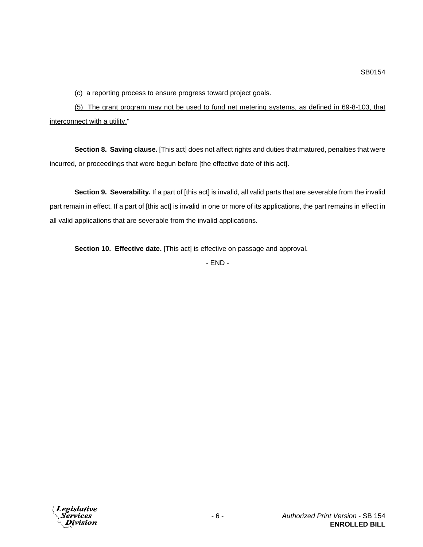(c) a reporting process to ensure progress toward project goals.

(5) The grant program may not be used to fund net metering systems, as defined in 69-8-103, that interconnect with a utility."

**Section 8. Saving clause.** [This act] does not affect rights and duties that matured, penalties that were incurred, or proceedings that were begun before [the effective date of this act].

**Section 9. Severability.** If a part of [this act] is invalid, all valid parts that are severable from the invalid part remain in effect. If a part of [this act] is invalid in one or more of its applications, the part remains in effect in all valid applications that are severable from the invalid applications.

**Section 10. Effective date.** [This act] is effective on passage and approval.

- END -

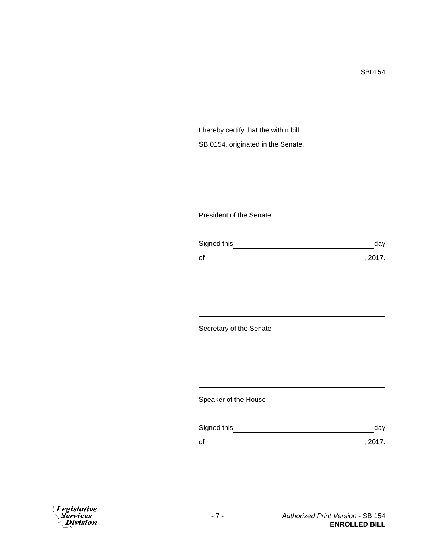I hereby certify that the within bill, SB 0154, originated in the Senate.

## President of the Senate

| Signed this | day     |
|-------------|---------|
| οf          | , 2017. |

Secretary of the Senate

Speaker of the House

| Signed this | dav     |
|-------------|---------|
| οf          | , 2017. |